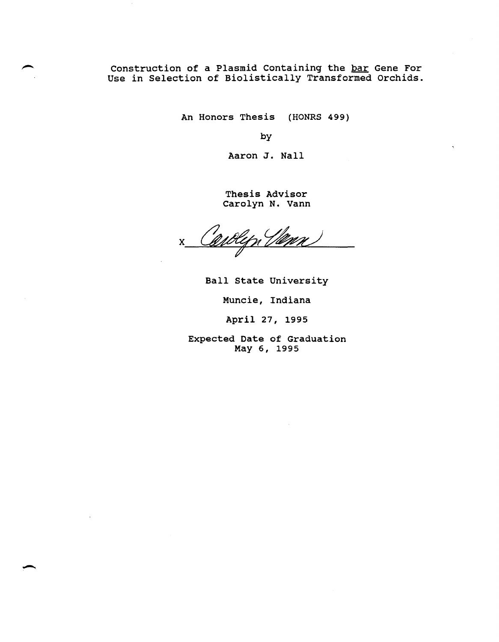## construction of a Plasmid Containing the bar Gene For Use in Selection of Biolistically Transformed Orchids.

An Honors Thesis (HONRS 499)

by

Aaron J. NaIl

Thesis Advisor carolyn N. Vann

Carolyn Vann  $\mathbf{x}$ 

Ball State University

Muncie, Indiana

April 27, 1995

Expected Date of Graduation May 6, 1995

 $\overline{\phantom{a}}$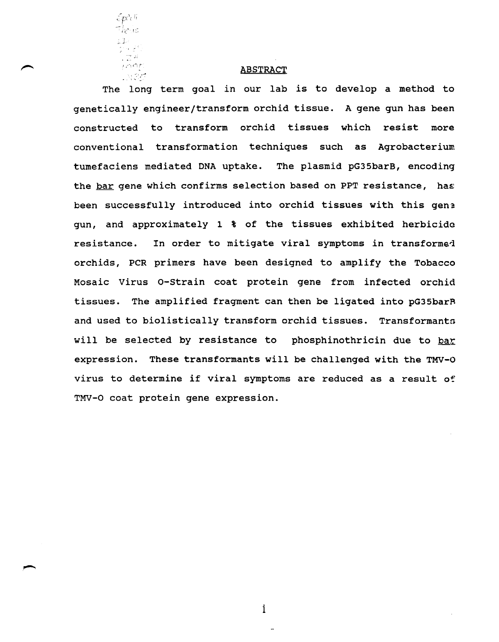## , ABSTRACT

 $\varepsilon_{\mathcal{D}}$ ى ئەل

The long term goal in our lab is to develop a method to genetically engineer/transform orchid tissue. A gene gun has been constructed to transform orchid tissues which resist more conventional transformation techniques such as Agrobacterium tumefaciens mediated DNA uptake. The plasmid pG35barB, encoding the bar gene which confirms selection based on PPT resistance, has; been successfully introduced into orchid tissues with this gene gun, and approximately 1 % of the tissues exhibited herbicida resistance. In order to mitigate viral symptoms in transformed orchids, PCR primers have been designed to amplify the Tobacco Mosaic Virus o-strain coat protein gene from infected orchid tissues. The amplified fragment can then be ligated into pG35barR and used to biolistically transform orchid tissues. Transformants will be selected by resistance to phosphinothricin due to bar expression. These transformants will be challenged with the TMV-O virus to determine if viral symptoms are reduced as a result of TMV-O coat protein gene expression.

i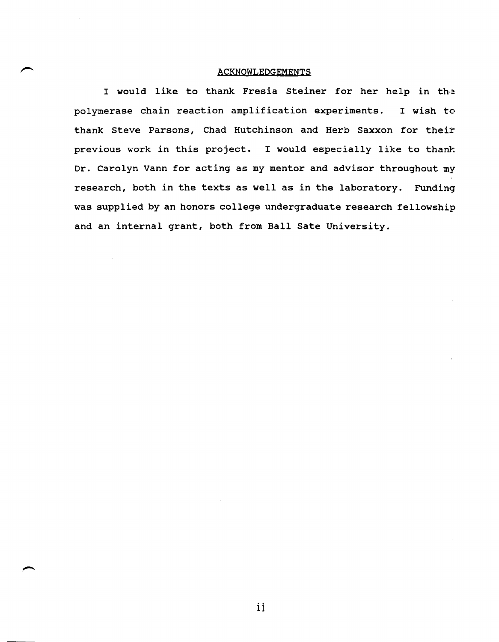#### ACKNOWLEDGEMENTS

I would like to thank Fresia Steiner for her help in the polymerase chain reaction amplification experiments. I wish to thank Steve Parsons, Chad Hutchinson and Herb Saxxon for their previous work in this project. I would especially like to thank Dr. Carolyn Vann for acting as my mentor and advisor throughout my research, both in the texts as well as in the laboratory. Funding was supplied by an honors college undergraduate research fellowship and an internal grant, both from Ball sate University.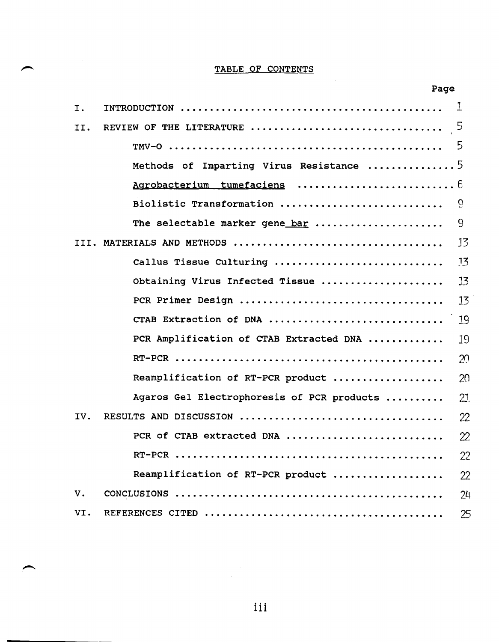## TABLE OF CONTENTS

|      |                                            | Page |                     |
|------|--------------------------------------------|------|---------------------|
| I.   |                                            |      | 1                   |
| II.  |                                            |      |                     |
|      |                                            |      | 5                   |
|      | Methods of Imparting Virus Resistance 5    |      |                     |
|      |                                            |      |                     |
|      | Biolistic Transformation                   |      | $\ddot{\mathbf{G}}$ |
|      | The selectable marker gene bar             |      | 9                   |
| TTT. |                                            |      | 13                  |
|      | Callus Tissue Culturing                    |      | <u>13</u>           |
|      | Obtaining Virus Infected Tissue            |      | 13                  |
|      |                                            |      | 13                  |
|      | CTAB Extraction of DNA                     |      | 19                  |
|      | PCR Amplification of CTAB Extracted DNA    |      | 19                  |
|      |                                            |      | 20                  |
|      | Reamplification of RT-PCR product          |      | 20                  |
|      | Agaros Gel Electrophoresis of PCR products |      | 21                  |
| IV.  |                                            |      | 22                  |
|      | PCR of CTAB extracted DNA                  |      | 22                  |
|      |                                            |      | 22                  |
|      | Reamplification of RT-PCR product          |      | 22                  |
| v.   |                                            |      | 24                  |
| VI.  |                                            |      | 25                  |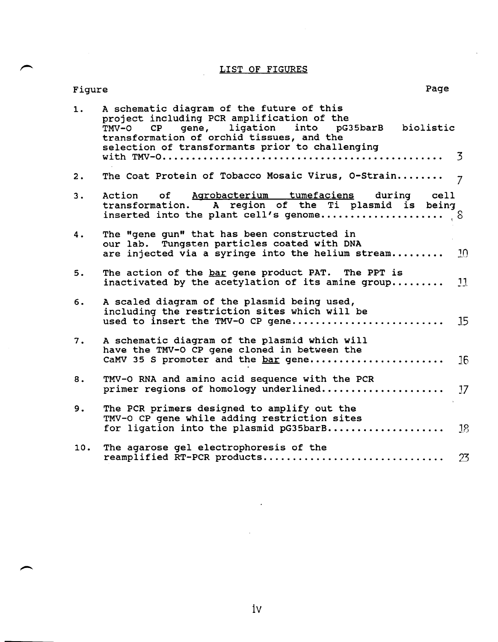# LIST OF FIGURES

| Figure | Page                                                                                                                                                                                                                                       |                |
|--------|--------------------------------------------------------------------------------------------------------------------------------------------------------------------------------------------------------------------------------------------|----------------|
| 1.     | A schematic diagram of the future of this<br>project including PCR amplification of the<br>TMV-0 CP gene, ligation into pG35barB biolistic<br>transformation of orchid tissues, and the<br>selection of transformants prior to challenging | $\overline{3}$ |
| 2.     | The Coat Protein of Tobacco Mosaic Virus, O-Strain                                                                                                                                                                                         | $\overline{7}$ |
| 3.     | Action of Agrobacterium tumefaciens during cell<br>transformation. A region of the Ti plasmid is being                                                                                                                                     |                |
| 4.     | The "gene gun" that has been constructed in<br>our lab. Tungsten particles coated with DNA<br>are injected via a syringe into the helium stream                                                                                            | $-10$          |
| 5.     | The action of the bar gene product PAT. The PPT is<br>inactivated by the acetylation of its amine group                                                                                                                                    | 11             |
| 6.     | A scaled diagram of the plasmid being used,<br>including the restriction sites which will be<br>used to insert the TMV-0 CP gene                                                                                                           | 15             |
| 7.     | A schematic diagram of the plasmid which will<br>have the TMV-O CP gene cloned in between the<br>CaMV 35 S promoter and the bar gene                                                                                                       | 16             |
| 8.     | TMV-O RNA and amino acid sequence with the PCR<br>primer regions of homology underlined                                                                                                                                                    | 17             |
| 9.     | The PCR primers designed to amplify out the<br>TMV-O CP gene while adding restriction sites<br>for ligation into the plasmid pG35barB                                                                                                      | 18             |
| 10.    | The agarose gel electrophoresis of the<br>reamplified RT-PCR products                                                                                                                                                                      | 23             |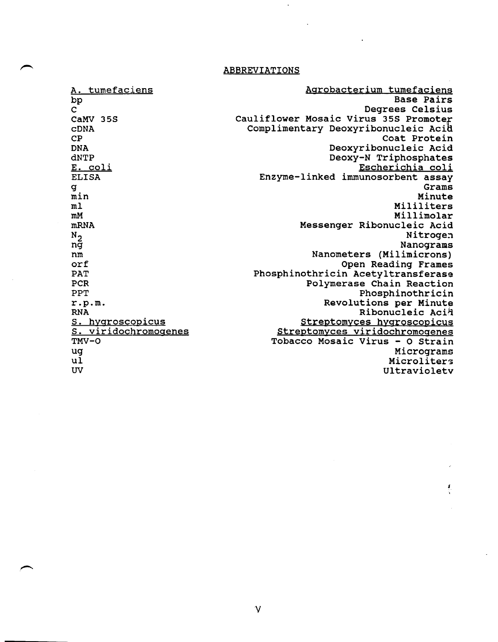## ABBREVIATIONS

 $\hat{\mathcal{A}}$ 

| <u>tumefaciens</u><br>Α.    | Agrobacterium tumefaciens             |
|-----------------------------|---------------------------------------|
| bp                          | <b>Base Pairs</b>                     |
| C.                          | Degrees Celsius                       |
| CaMV 35S                    | Cauliflower Mosaic Virus 35S Promoter |
| CDNA                        | Complimentary Deoxyribonucleic Acid   |
| CP                          | Coat Protein                          |
| <b>DNA</b>                  | Deoxyribonucleic Acid                 |
| dNTP                        | Deoxy-N Triphosphates                 |
| E. coli                     | Escherichia coli                      |
| <b>ELISA</b>                | Enzyme-linked immunosorbent assay     |
| g                           | Grams                                 |
| min                         | Minute                                |
| ml                          | Mililiters                            |
| mM                          | Millimolar                            |
| <b>mRNA</b>                 | Messenger Ribonucleic Acid            |
| $N_{2}$                     | Nitrogen                              |
| nğ                          | Nanograms                             |
| nm                          | Nanometers (Milimicrons)              |
| orf                         | Open Reading Frames                   |
| <b>PAT</b>                  | Phosphinothricin Acetyltransferase    |
| PCR                         | Polymerase Chain Reaction             |
| PPT                         | Phosphinothricin                      |
| r.p.m.                      | Revolutions per Minute                |
| <b>RNA</b>                  | Ribonucleic Acia                      |
| <u>S. hygroscopicus</u>     | Streptomyces hygroscopicus            |
| <u>S. viridochromogenes</u> | Streptomyces viridochromogenes        |
| TMV-O                       | Tobacco Mosaic Virus - O Strain       |
| ug                          | Micrograms                            |
| ul                          | Microliters                           |
| UV                          | Ultravioletv                          |

 $\frac{1}{2}$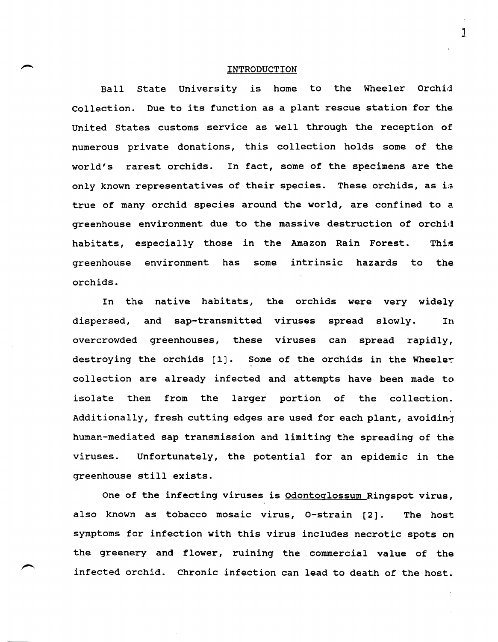#### INTRODUCTION

J

Ball state University is home to the Wheeler Orchid Collection. Due to its function as a plant rescue station for the united states customs service as well through the reception of numerous private donations, this collection holds some of the world's rarest orchids. In fact, some of the specimens are the only known representatives of their species. These orchids, as is true of many orchid species around the world, are confined to a greenhouse environment due to the massive destruction of orchi,l habitats, especially those in the Amazon Rain Forest. This greenhouse environment has some intrinsic hazards to the orchids.

In the native habitats, the orchids were very widely dispersed, and sap-transmitted viruses spread slowly. In overcrowded greenhouses, these viruses can spread rapidly, destroying the orchids [1]. Some of the orchids in the Wheeler collection are already infected and attempts have been made to isolate them from the larger portion of the collection. Additionally, fresh cutting edges are used for each plant, avoiding human-mediated sap transmission and limiting the spreading of the viruses. Unfortunately, the potential for an epidemic in the greenhouse still exists.

One of the infecting viruses is Odontoglossum Ringspot virus, also known as tobacco mosaic virus, o-strain [2]. The host symptoms for infection with this virus includes necrotic spots on the greenery and flower, ruining the commercial value of the infected orchid. Chronic infection can lead to death of the host.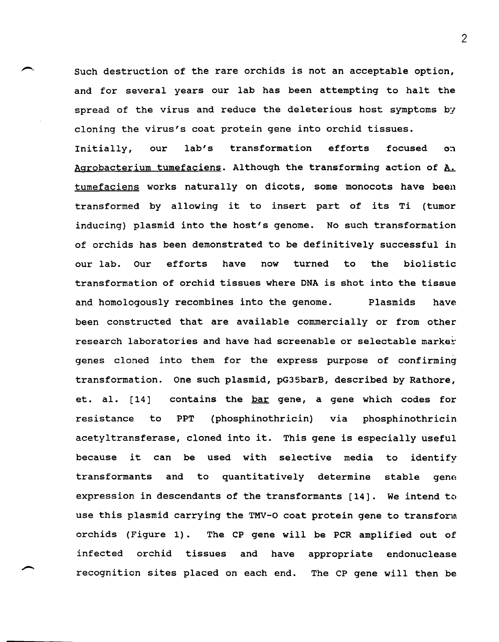Such destruction of the rare orchids is not an acceptable option, and for several years our lab has been attempting to halt the spread of the virus and reduce the deleterious host symptoms by cloning the virus's coat protein gene into orchid tissues. Initially, our lab's transformation efforts focused on Agrobacterium tumefaciens. Although the transforming action of  $A$ . tumefaciens works naturally on dicots, some monocots have been transformed by allowing it to insert part of its Ti (tumor inducing) plasmid into the host's genome. No such transformation of orchids has been demonstrated to be definitively successful in our lab. Our efforts have now turned to the biolistic transformation of orchid tissues where DNA is shot into the tissue and homologously recombines into the genome. Plasmids have been constructed that are available commercially or from other' research laboratories and have had screenable or selectable marker genes cloned into them for the express purpose of confirming transformation. One such plasmid, pG35barB, described by Rathore, et. al.  $[14]$ resistance to contains the bar gene, a gene which codes for PPT (phosphinothricin) via phosphinothricin acetyltransferase, cloned into it. This gene is especially useful because it can be used with selective media to identify transformants and to quantitatively determine stable gene expression in descendants of the transformants [14]. We intend to use this plasmid carrying the TMV-O coat protein gene to transfonn orchids (Figure 1). The CP gene will be PCR amplified out of infected orchid tissues and have appropriate endonuclease recognition sites placed on each end. The CP gene will then be

2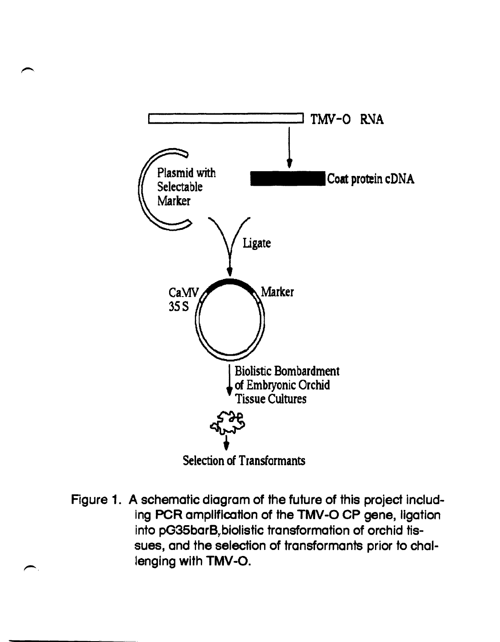

Figure 1. A schematic diagram of the future of this project including PCR amplification of the TMV-O CP gene, ligation into pG35barB, biolistic transformation of orchid tissues, and the selection of transformants prior to challenging with TMV-O.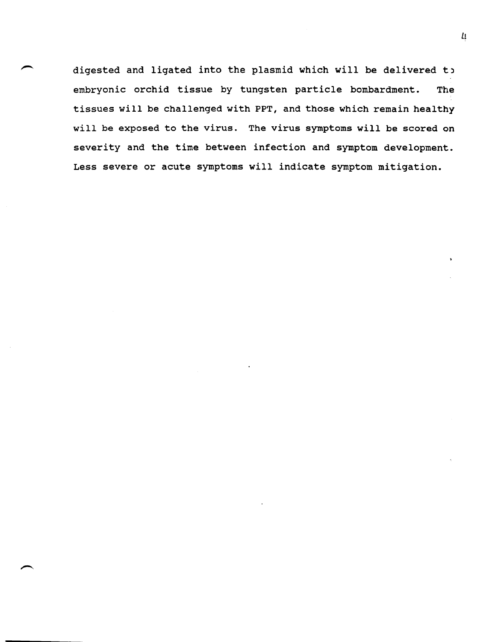digested and ligated into the plasmid which will be delivered t) embryonic orchid tissue by tungsten particle bombardment. The tissues will be challenged with PPT, and those which remain healthy will be exposed to the virus. The virus symptoms will be scored on severity and the time between infection and symptom development. Less severe or acute symptoms will indicate symptom mitigation.

 $\overline{\mu}$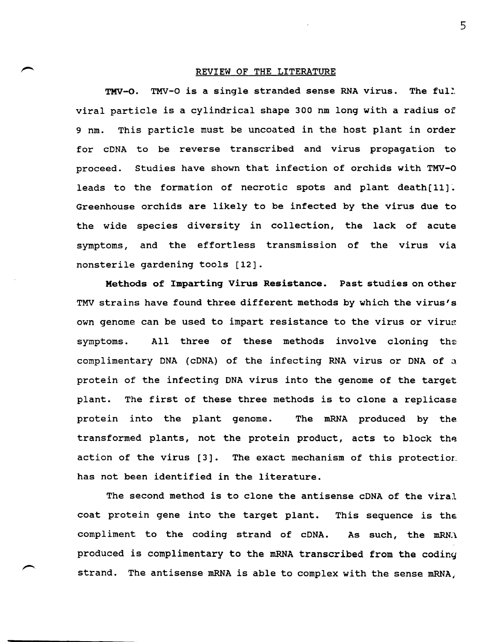#### REVIEW OF THE LITERATURE

TMV-O. TMV-O is a single stranded sense RNA virus. The full viral particle is a cylindrical shape 300 nm long with a radius of 9 nm. This particle must be uncoated in the host plant in order for cDNA to be reverse transcribed and virus propagation to proceed. Studies have shown that infection of orchids with TMV-O leads to the formation of necrotic spots and plant death[11]. Greenhouse orchids are likely to be infected by the virus due to the wide species diversity in collection, the lack of acute symptoms, and the effortless transmission of the virus via nonsterile gardening tools [12].

Methods of Imparting Virus Resistance. Past studies on other TMV strains have found three different methods by which the virus's own genome can be used to impart resistance to the virus or virus symptoms. All three of these methods involve cloning the complimentary DNA (cDNA) of the infecting RNA virus or DNA of a protein of the infecting DNA virus into the genome of the target plant. The first of these three methods is to clone a replicase protein into the plant genome. The mRNA produced by the transformed plants, not the protein product, acts to block the action of the virus [3]. The exact mechanism of this protection has not been identified in the literature.

The second method is to clone the antisense cDNA of the viral coat protein gene into the target plant. This sequence is the compliment to the coding strand of cDNA. As such, the mRN:\ produced is complimentary to the mRNA transcribed from the coding strand. The antisense mRNA is able to complex with the sense mRNA,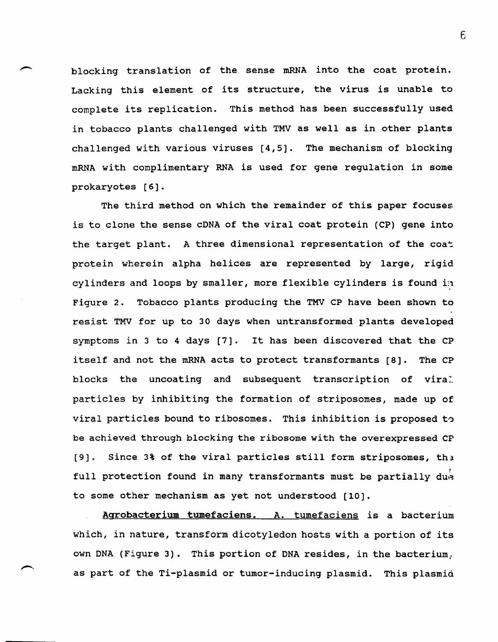blocking translation of the sense mRNA into the coat protein. Lacking this element of its structure, the virus is unable to complete its replication. This method has been successfully used in tobacco plants challenged with TMV as well as in other plants challenged with various viruses [4,5]. The mechanism of blocking mRNA with complimentary RNA is used for gene regulation in some prokaryotes [6].

The third method on which the remainder of this paper focuses is to clone the sense cDNA of the viral coat protein (CP) gene into the target plant. A three dimensional representation of the  $\text{coa}^+$ protein wherein alpha helices are represented by large, rigid cylinders and loops by smaller, more flexible cylinders is found in Figure 2. Tobacco plants producing the TMV CP have been shown to resist TMV for up to 30 days when untransformed plants developed symptoms in 3 to 4 days [7]. It has been discovered that the CP itself and not the mRNA acts to protect transformants [8]. The CP blocks the uncoating and subsequent transcription of vira: particles by inhibiting the formation of striposomes, made up of viral particles bound to ribosomes. This inhibition is proposed to be achieved through blocking the ribosome with the overexpressed CP [9]. Since 3% of the viral particles still form striposomes, the full protection found in many transformants must be partially due to some other mechanism as yet not understood [10].

Agrobacterium tumefaciens. A. tumefaciens is a bacterium which, in nature, transform dicotyledon hosts with a portion of its own DNA (Figure 3). This portion of DNA resides, in the bacterium, as part of the Ti-plasmid or tumor-inducing plasmid. This plasmid

6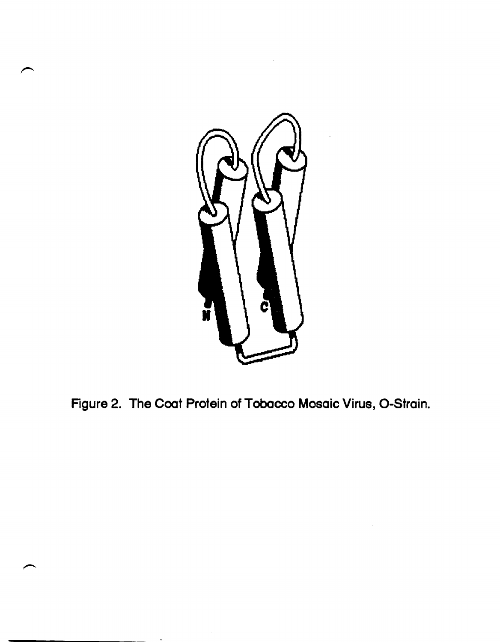

Figure 2. The Coat Protein of Tobacco Mosaic Virus, O-Strain.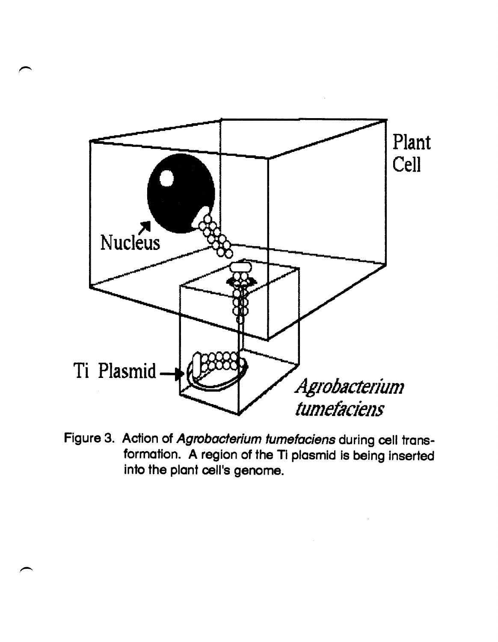

Figure 3. Action of Agrobacterium tumefaciens during cell transformation. A region of the Ti plasmid is being inserted into the plant cell's genome.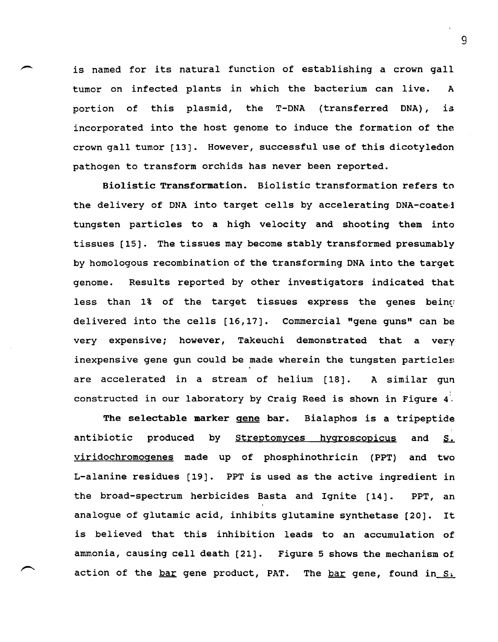is named for its natural function of establishing a crown gall tumor on infected plants in which the bacterium can live. A portion of this plasmid, the T-DNA (transferred DNA), is incorporated into the host genome to induce the formation of the crown gall tumor [13]. However, successful use of this dicotyledon pathogen to transform orchids has never been reported.

Biolistic Transformation. Biolistic transformation refers to the delivery of DNA into target cells by accelerating DNA-coate,i tungsten particles to a high velocity and shooting them into tissues [15]. The tissues may become stably transformed presumably by homologous recombination of the transforming DNA into the target genome. Results reported by other investigators indicated that less than 1% of the target tissues express the genes being delivered into the cells [16,17]. Commercial "gene guns" can be very expensive; however, Takeuchi demonstrated that a very inexpensive gene gun could be made wherein the tungsten particles are accelerated in a stream of helium [18]. A similar gun constructed in our laboratory by Craig Reed is shown in Figure 4.

The selectable marker gene bar. Bialaphos is a tripeptide antibiotic produced by Streptomyces hygroscopicus and S. viridochromogenes made up of phosphinothricin (PPT) and two L-alanine residues [19]. PPT is used as the active ingredient in the broad-spectrum herbicides Basta and Ignite [14]. PPT, an analogue of glutamic acid, inhibits glutamine synthetase [20]. It is believed that this inhibition leads to an accumulation of ammonia, causing cell death [21]. Figure 5 shows the mechanism of action of the bar gene product, PAT. The bar gene, found in  $S_{\lambda}$ 

 $\mathsf{q}$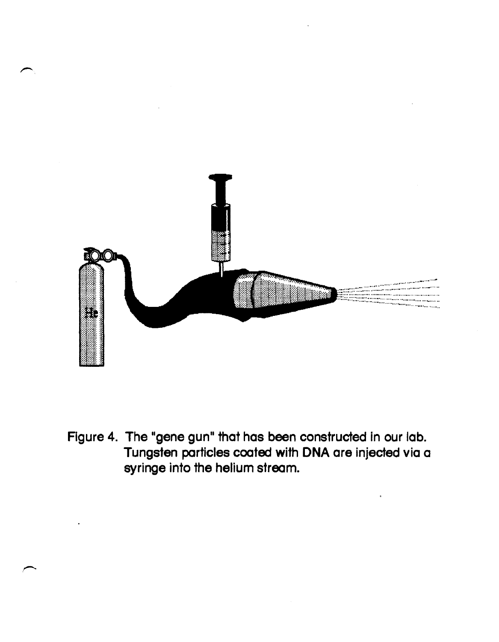

Figure 4. The "gene gun" that has been constructed in our lab. Tungsten particles coated with DNA are injected via a syringe into the helium stream.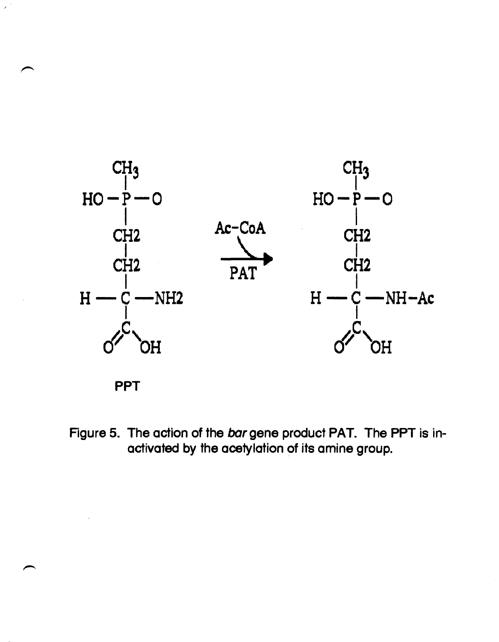



Figure 5. The action of the bar gene product PAT. The PPT is inactivated by the acetylation of its amine group.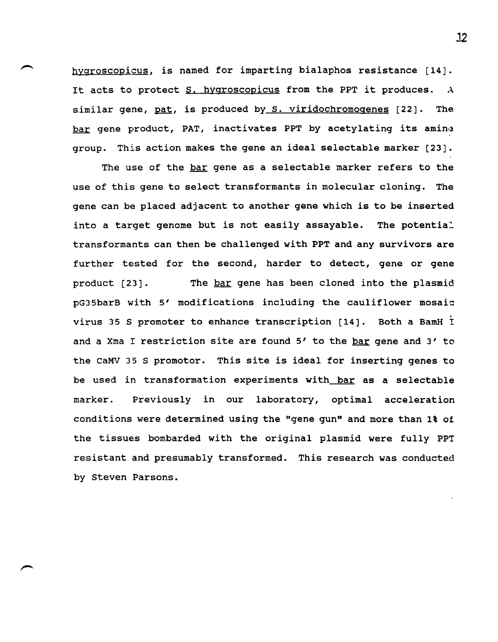hygroscopicus, is named for imparting bialaphos resistance [14]. It acts to protect  $S$ . hygroscopicus from the PPT it produces. A similar gene, pat, is produced by s. viridochromogenes [22]. The bar gene product, PAT, inactivates PPT by acetylating its amine group. This action makes the gene an ideal selectable marker [23].

The use of the bar gene as a selectable marker refers to the use of this gene to select transformants in molecular cloning. The gene can be placed adjacent to another gene which is to be inserted into a target genome but is not easily assayable. The potential transformants can then be challenged with PPT and any survivors are further tested for the second, harder to detect, gene or gene product [23]. The bar gene has been cloned into the plasmid pG35barB with 5' modifications including the cauliflower mosaic virus 35 S promoter to enhance transcription [14]. Both a BamH I and a Xma I restriction site are found 5' to the bar gene and 3' to the CaMV 35 S promotor. This site is ideal for inserting genes to be used in transformation experiments with bar as a selectable marker. Previously in our laboratory, optimal acceleration conditions were determined using the "gene gun" and more than 1% ot the tissues bombarded with the original plasmid were fully PPT resistant and presumably transformed. This research was conducted by steven Parsons.

J2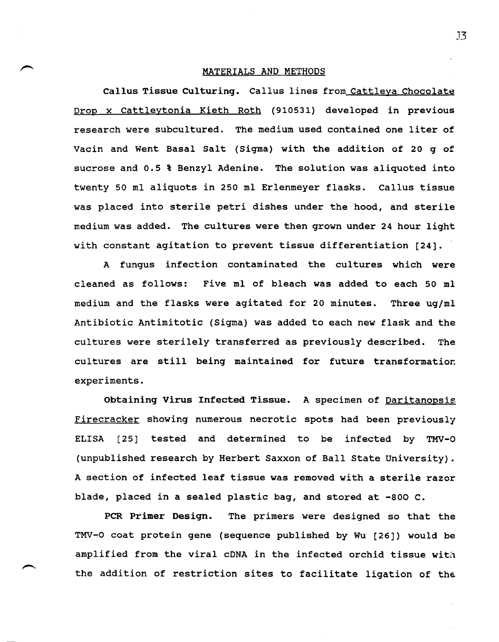#### MATERIALS AND METHODS

Callus Tissue CUlturing. Callus lines from Cattleya Chocolate Drop x Cattleytonia Kieth Roth (910531) developed in previous research were subcultured. The medium used contained one liter of Vacin and Went Basal Salt (sigma) with the addition of 20 g of sucrose and 0.5 % Benzyl Adenine. The solution was aliquoted into twenty 50 ml aliquots in 250 ml Erlenmeyer flasks. Callus tissue was placed into sterile petri dishes under the hood, and sterile medium was added. The cultures were then grown under 24 hour light with constant agitation to prevent tissue differentiation  $[24]$ .

A fungus infection contaminated the cultures which were cleaned as follows: Five ml of bleach was added to each 50 ml medium and the flasks were agitated for 20 minutes. Three ug/ml Antibiotic Antimitotic (Sigma) was added to each new flask and the cultures were sterilely transferred as previously described. The cultures are still being maintained for future transformatior:. experiments.

obtaining virus Infected Tissue. A specimen of Daritanopsis Firecracker showing numerous necrotic spots had been previously ELISA [25] tested and determined to be infected by TMV-O (unpublished research by Herbert Saxxon of Ball state University). A section of infected leaf tissue was removed with a sterile razor blade, placed in a sealed plastic bag, and stored at -800 C.

PCR Primer Design. The primers were designed so that the TMV-O coat protein gene (sequence published by Wu (26) would be amplified from the viral  $cDNA$  in the infected orchid tissue with the addition of restriction sites to facilitate ligation of the

J3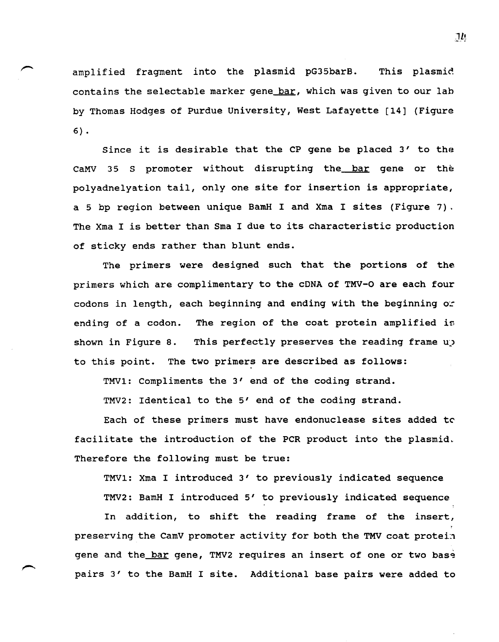amplified fragment into the plasmid pG35barB. This plasmid contains the selectable marker gene bar, which was given to our lab by Thomas Hodges of Purdue University, West Lafayette [14] (Figure 6) •

since it is desirable that the CP gene be placed 3' to the CaMV 35 S promoter without disrupting the bar gene or the polyadnelyation tail, only one site for insertion is appropriate, a 5 bp region between unique BamH I and Xma I sites (Figure 7) <sup>&</sup>gt; The Xma I is better than Sma I due to its characteristic production of sticky ends rather than blunt ends.

The primers were designed such that the portions of the primers which are complimentary to the cDNA of TMV-O are each four codons in length, each beginning and ending with the beginning or ending of a codon. The region of the coat protein amplified is shown in Figure 8. This perfectly preserves the reading frame up to this point. The two primers are described as follows:

TMV1: Compliments the 3' end of the coding strand.

TMV2: Identical to the 5' end of the coding strand.

Each of these primers must have endonuclease sites added tc facilitate the introduction of the PCR product into the plasmid. Therefore the following must be true:

TMV1: Xma I introduced 3' to previously indicated sequence

TMV2: BamH I introduced 5' to previously indicated sequence

In addition, to shift the reading frame of the insert, preserving the CamV promoter activity for both the TMV coat protein gene and the bar gene, TMV2 requires an insert of one or two base pairs 3' to the BamH I site. Additional base pairs were added to

 $1<sub>k</sub>$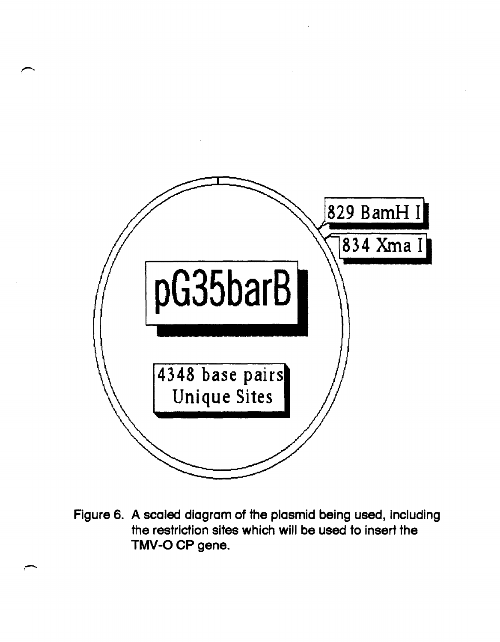

Figure 6. A scaled diagram of the plasmid being used, including the restriction sites which will be used to insert the TMV-O CP gene.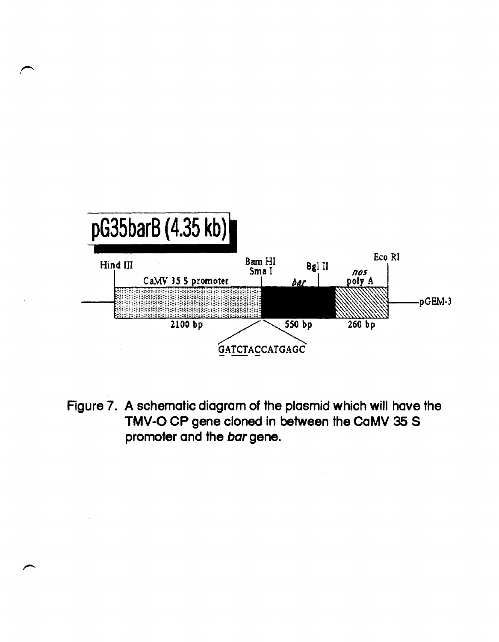

Figure 7. A schematic diagram of the plasmid which will have the TMV-O CP gene cloned in between the CaMV 35 S promoter and the bar gene.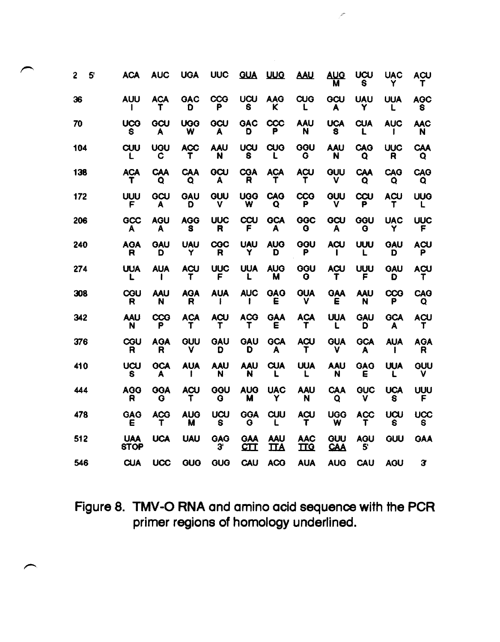| 2   | 5 | <b>ACA</b>                | <b>AUC</b>      | <b>UGA</b>      | <b>UUC</b>       | <b>GUA</b>      | <b>UUQ</b>       | <b>AAU</b>       | <b>AUQ</b><br>м          | UCU<br>s         | <b>UAC</b><br>Y | ACU             |
|-----|---|---------------------------|-----------------|-----------------|------------------|-----------------|------------------|------------------|--------------------------|------------------|-----------------|-----------------|
| 36  |   | <b>AUU</b>                | <b>ACA</b>      | <b>GAC</b><br>D | cco<br>P         | UCU<br>s        | <b>AAG</b><br>ĸ  | C <sub>U</sub> G | GCU<br>А                 | <b>UAU</b>       | <b>UUA</b>      | <b>AGC</b>      |
| 70  |   | UCG                       | GCU<br>А        | <b>UGG</b><br>w | GCU<br>A         | GAC<br>D        | ccc<br>P         | AAU<br>N         | <b>UCA</b><br>S          | <b>CUA</b>       | <b>AUC</b>      | <b>AAC</b><br>N |
| 104 |   | CUU                       | UGU<br>С        | <b>ACC</b>      | AAU<br>N         | UCU<br>S        | C <sub>U</sub>   | <b>GGU</b><br>G  | AAU<br>N                 | CAG<br>Q         | <b>UUC</b><br>R | CAA<br>Q        |
| 138 |   | <b>ACA</b>                | CAA<br>Q        | CAA<br>Q        | ocu<br>A         | CGA<br>R        | <b>ACA</b><br>т  | ACU<br>т         | <b>GUU</b><br>v          | CAA<br>Q         | CAG<br>Q        | CAG<br>Q        |
| 172 |   | UUU<br>F                  | GCU<br>A        | GAU<br>D        | <b>GUU</b>       | <b>UGG</b><br>w | CAG<br>Q         | cco<br>P         | <b>GUU</b>               | ccu<br>Р         | ACU             | <b>UUG</b>      |
| 206 |   | GCC<br>A                  | AGU<br>А        | <b>AGG</b><br>s | <b>UUC</b><br>R  | cau<br>F        | <b>GCA</b><br>A  | GGC<br>G         | GCU<br>A                 | GGU<br>G         | <b>UAC</b><br>Y | <b>UUC</b><br>F |
| 240 |   | AGA<br>R                  | GAU<br>D        | <b>UAU</b><br>Y | <b>CGC</b><br>R  | UAU<br>Y        | <b>AUG</b><br>D  | GOU<br>Р         | ACU                      | UUU              | GAU<br>D        | ACU<br>р        |
| 274 |   | <b>UUA</b>                | <b>AUA</b>      | ACU<br>т        | <b>UUC</b><br>F  | <b>UUA</b>      | <b>AUG</b><br>м  | GGU<br>G         | ACU<br>Т                 | UUU<br>F         | GAU<br>D        | ACU             |
| 308 |   | COU<br>R                  | AAU<br>N        | <b>AGA</b><br>R | <b>AUA</b>       | <b>AUC</b>      | GAG<br>Е         | <b>GUA</b>       | <b>GAA</b><br>Е          | AAU<br>N         | cco<br>P        | CAG<br>Q        |
| 342 |   | AAU<br>N                  | CCG<br>P        | <b>ACA</b>      | ACU<br>т         | <b>ACG</b><br>т | <b>GAA</b><br>Е  | <b>ACA</b><br>T  | <b>UUA</b>               | GAU<br>Đ         | GCA<br>A        | ACU<br>т        |
| 376 |   | CGU<br>R                  | AGA<br>R        | <b>GUU</b><br>ν | GAU<br>D         | GAU<br>D        | <b>GCA</b><br>A  | ACU<br>т         | <b>GUA</b><br>v          | <b>GCA</b><br>A  | AUA             | <b>AGA</b><br>R |
| 410 |   | UCU<br>s                  | <b>GCA</b><br>А | <b>AUA</b>      | AAU<br>N         | <b>AAU</b><br>N | <b>CUA</b>       | <b>UUA</b>       | AAU<br>N                 | GAO<br>Ε         | <b>UUA</b>      | <b>GUU</b><br>ν |
| 444 |   | <b>AGG</b><br>R           | OGA<br>G        | ACU<br>т        | aau<br>G         | <b>AUG</b><br>м | <b>UAC</b><br>Y  | AAU<br>N         | CAA<br>Q                 | <b>GUC</b><br>v  | UCA<br>S        | UUU<br>F.       |
| 478 |   | <b>GAG</b><br>Ε           | <b>ACG</b><br>т | <b>AUG</b><br>м | UCU<br>s         | GGA<br>G        | CUU              | ACU<br>т         | <b>UGG</b><br>w          | <b>ACC</b>       | UCU<br>s        | UCC<br>s        |
| 512 |   | <b>UAA</b><br><b>STOP</b> | <b>UCA</b>      | <b>UAU</b>      | <b>GAG</b><br>3' | GAA<br>CTT      | <b>AAU</b><br>ΠА | <b>AAC</b><br>ΠQ | <b>GUU</b><br><b>CAA</b> | <b>AGU</b><br>5' | <b>GUU</b>      | <b>GAA</b>      |
| 546 |   | CUA                       | UCC             | <b>GUG</b>      | <b>GUG</b>       | CAU             | <b>ACG</b>       | <b>AUA</b>       | <b>AUG</b>               | CAU              | <b>AGU</b>      | 3               |

للعبر

Figure 8. TMV-O RNA and amino acid sequence with the PCR primer regions of homology underlined.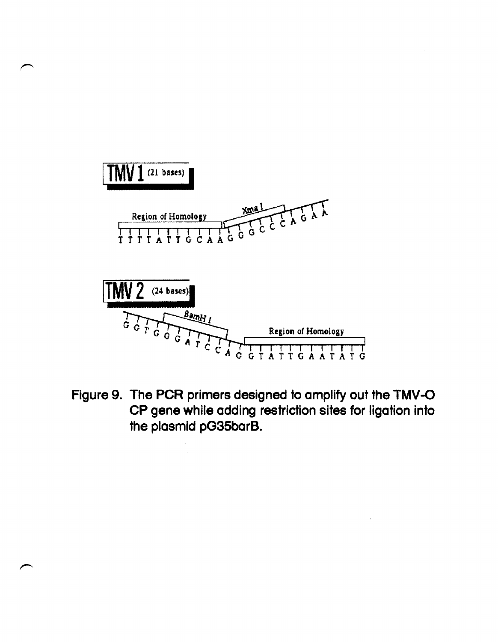

**Figure 9. The PCR primers designed to amplify out the TMV-O CP gene while adding restriction sites for ligation into the plasmid pG35barB.**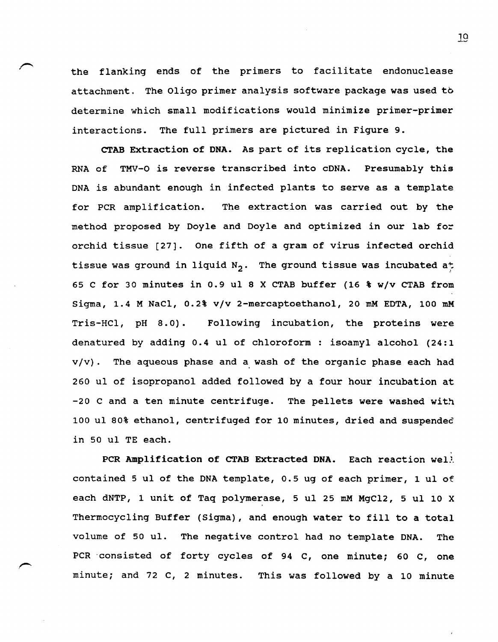the flanking ends of the primers to facilitate endonuclease attachment. The Oligo primer analysis software package was used to determine which small modifications would minimize primer-primer interactions. The full primers are pictured in Figure 9.

CTAB Extraction of DNA. As part of its replication cycle, the RNA of TMV-O is reverse transcribed into cDNA. Presumably this DNA is abundant enough in infected plants to serve as a template for PCR amplification. The extraction was carried out by the method proposed by Doyle and Doyle and optimized in our lab for orchid tissue [27]. One fifth of a gram of virus infected orchid tissue was ground in liquid  $N_2$ . The ground tissue was incubated at 65 C for 30 minutes in 0.9 ul 8 X CTAB buffer (16 % w/v CTAB from Sigma, 1.4 M NaCl, 0.2% v/v 2-mercaptoethanol, 20 mM EDTA, 100 mM Tris-HCI, pH 8.0). Following incubation, the proteins were denatured by adding 0.4 ul of chloroform: isoamyl alcohol (24:1  $v/v$ ). The aqueous phase and a wash of the organic phase each had 260 ul of isopropanol added followed by a four hour incubation at  $-20$  C and a ten minute centrifuge. The pellets were washed with 100 ul 80% ethanol, centrifuged for 10 minutes, dried and suspended in 50 ul TE each.

PCR Amplification of CTAB Extracted DNA. Each reaction well contained 5 ul of the DNA template, 0.5 ug of each primer, 1 ul of each dNTP, 1 unit of Taq polymerase, 5 ul 25 mM MgCl2, 5 ul 10 X Thermocycling Buffer (Sigma), and enough water to fill to a total volume of 50 ul. The negative control had no template DNA. The PCR 'consisted of forty cycles of 94 C, one minute; 60 C, one minute; and 72 C, 2 minutes. This was followed by a 10 minute

19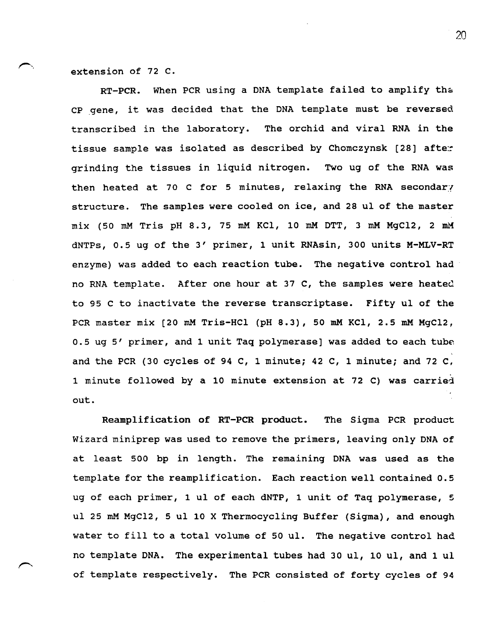extension of 72 C.

RT-PCR. When PCR using a DNA template failed to amplify the CP gene, it was decided that the DNA template must be reversed transcribed in the laboratory. The orchid and viral RNA in the tissue sample was isolated as described by Chomczynsk  $[28]$  after grinding the tissues in liquid nitrogen. Two ug of the RNA was then heated at 70 C for 5 minutes, relaxing the RNA secondary structure. The samples were cooled on ice, and 28 ul of the master  $mix$  (50 mM Tris pH 8.3, 75 mM KCl, 10 mM DTT, 3 mM MgCl2, 2 mM dNTPs, 0.5 ug of the 3' primer, 1 unit RNAsin, 300 units M-MLV-RT enzyme) was added to each reaction tube. The negative control had no RNA template. After one hour at 37 C, the samples were heated to 95 C to inactivate the reverse transcriptase. Fifty ul of the PCR master mix [20 mM Tris-HCl (pH 8.3), 50 mM KCl, 2.5 mM MgCl2, 0.5 ug 5' primer, and 1 unit Taq polymerase] was added to each tube and the PCR (30 cycles of 94 c, 1 minute; 42 C, 1 minute; and 72 C, 1 minute followed by a 10 minute extension at 72 C) was carried out.

Reamplification of RT-PCR product. The Sigma PCR product Wizard miniprep was used to remove the primers, leaving only DNA of at least 500 bp in length. The remaining DNA was used as the template for the reamplification. Each reaction well contained 0.5 ug of each primer, 1 ul of each dNTP, 1 unit of Taq polymerase, 5 ul 25 mM MgCl2, 5 ul 10 X Thermocycling Buffer (Sigma), and enough water to fill to a total volume of 50 ul. The negative control had no template DNA. The experimental tubes had 30 ul, 10 ul, and 1 ul of template respectively. The PCR consisted of forty cycles of 94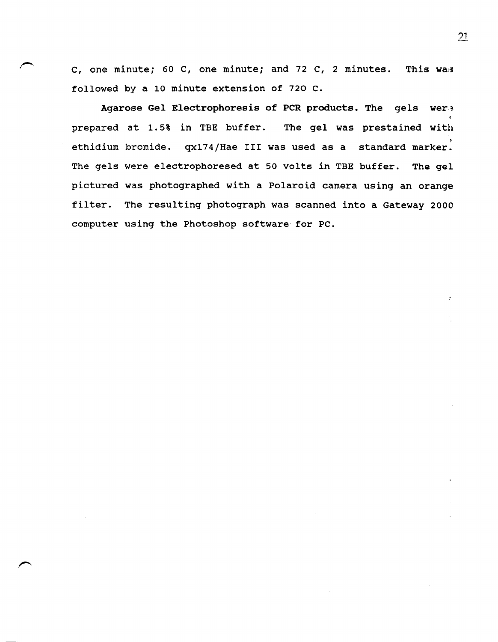C, one minute; 60 C, one minute; and 72 C, 2 minutes. This was followed by a 10 minute extension of 720 C.

Agarose Gel Electrophoresis of PCR products. The gels were prepared at 1. 5% in TBE buffer. The gel was prestained with , ethidium bromide. qx174/Hae III was used as a standard marker. The gels were electrophoresed at 50 volts in TBE buffer. The gel pictured was photographed with a Polaroid camera using an orange filter. The resulting photograph was scanned into a Gateway 2000 computer using the Photoshop software for PC.

2J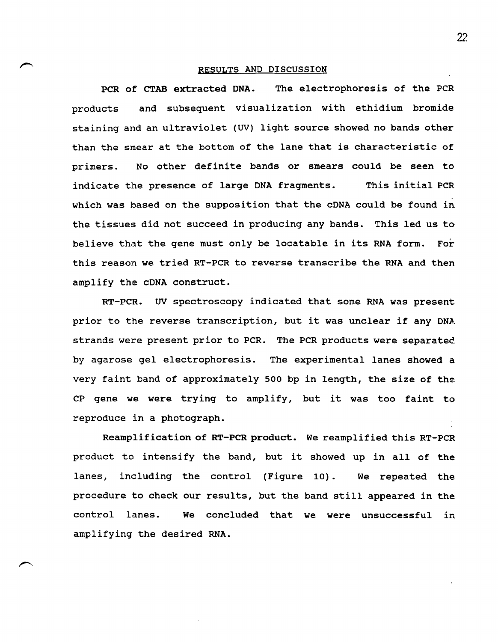#### RESULTS AND DISCUSSION

PCR of CTAB extracted DNA. The electrophoresis of the PCR products and subsequent visualization with ethidium bromide staining and an ultraviolet (UV) light source showed no bands other than the smear at the bottom of the lane that is characteristic of primers. No other definite bands or smears could be seen to indicate the presence of large DNA fragments. This initial PCR which was based on the supposition that the cDNA could be found in the tissues did not succeed in producing any bands. This led us to believe that the gene must only be locatable in its RNA form. For this reason we tried RT-PCR to reverse transcribe the RNA and then amplify the cDNA construct.

RT-PCR. UV spectroscopy indicated that some RNA was present prior to the reverse transcription, but it was unclear if any DNA strands were present prior to PCR. The PCR products were separated by agarose gel electrophoresis. The experimental lanes showed a very faint band of approximately 500 bp in length, the size of the CP gene we were trying to amplify, but it was too faint to reproduce in a photograph.

Reamplification of RT-PCR product. We reamplified this RT-PCR product to intensify the band, but it showed up in all of the lanes, including the control (Figure 10). We repeated the procedure to check our results, but the band still appeared in the control lanes. We concluded that we were unsuccessful in amplifying the desired RNA.

22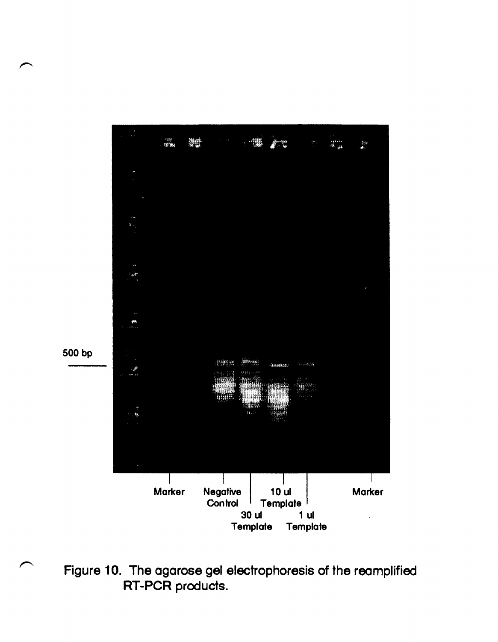

# Figure 10. The agarose gel electrophoresis of the reamplified RT-PCR products.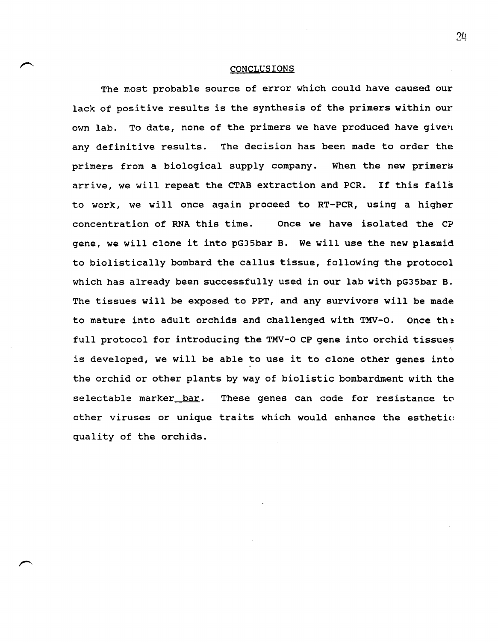#### CONCLUSIONS

The most probable source of error which could have caused our lack of positive results is the synthesis of the primers within our own lab. To date, none of the primers we have produced have given any definitive results. The decision has been made to order the primers from a biological supply company. When the new primers arrive, we will repeat the CTAB extraction and PCR. If this fails to work, we will once again proceed to RT-PCR, using a higher concentration of RNA this time. Once we have isolated the C? gene, we will clone it into pG35bar B. We will use the new plasmid to biolistically bombard the callus tissue, following the protocol which has already been successfully used in our lab with pG35bar B. The tissues will be exposed to PPT, and any survivors will be made to mature into adult orchids and challenged with TMV-O. Once the full protocol for introducing the TMV-O CP gene into orchid tissues is developed, we will be able to use it to clone other genes into the orchid or other plants by way of biolistic bombardment with the selectable marker bar. These genes can code for resistance to other viruses or unique traits which would enhance the esthetic: quality of the orchids.

 $24$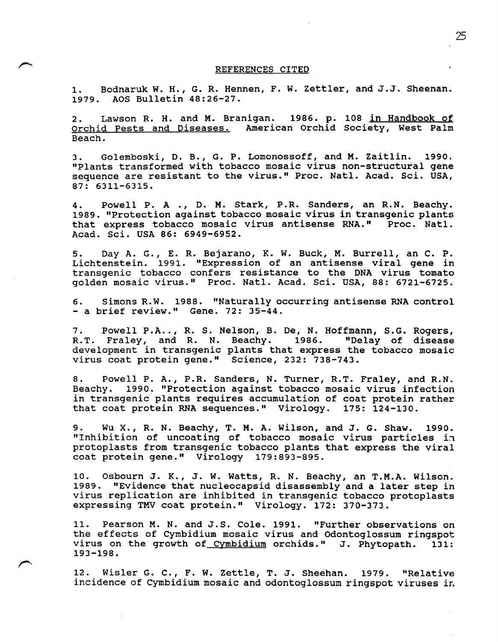#### REFERENCES CITED

1. Bodnaruk W. H., G. R. Hennen, F. W. Zettler, and J.J. Sheenan.<br>1979. AOS Bulletin 48:26-27. AOS Bulletin 48:26-27.

2. Lawson R. H. and M. Branigan. 1986. p. 108 in Handbook of Orchid Pests and Diseases. American Orchid Society, West Palm Beach.

3. Golemboski, D. B., G. P. Lomonossoff, and M. zaitlin. 1990. "Plants transformed with tobacco mosaic virus non-structural gene sequence are resistant to the virus." Proc. Natl. Acad. Sci. USA, 87: 6311-6315.

4. Powell P. A ., D. M. Stark, P.R. Sanders, an R.N. Beachy. 1989. "Protection against tobacco mosaic virus in transgenic plants that express tobacco mosaic virus antisense RNA." Proc. Natl. Acad. Sci. USA 86: 6949-6952.

5. Day A. G., E. R. Bejarano, K. W. Buck, M. Burrell, an C. P. Lichtenstein. 1991. "Expression of an antisense viral gene in transgenic tobacco confers resistance to the DNA virus tomato golden mosaic virus." Proc. Natl. Acad. Sci. USA, 88: 6721-6725.

6. Simons R.W. 1988. "Naturally occurring antisense RNA control - a brief review." Gene. 72: 35-44.

7. Powell P.A.., R. S. Nelson, B. De, N. Hoffmann, S.G. Rogers,<br>R.T. Fraley, and R. N. Beachy. 1986. "Delay of disease R.T. Fraley, and R. N. Beachy. 1986. development in transgenic plants that express the tobacco mosaic virus coat protein gene." Science, 232: 738-743.

8. Powell P. A., P.R. Sanders, N. Turner, R.T. Fraley, and R.N.<br>Beachy. 1990. "Protection against tobacco mosaic virus infection 1990. "Protection against tobacco mosaic virus infection in transgenic plants requires accumulation of coat protein rather that coat protein RNA sequences." Virology. 175: 124-130.

9. Wu x., R. N. Beachy, T. M. A. Wilson, and J. G. Shaw. 1990. "Inhibition of uncoating of tobacco mosaic virus particles in protoplasts from transgenic tobacco plants that express the viral coat protein gene." Virology 179:893-895.

10. Osbourn J. K., J. W. watts, R. N. Beachy, an T.M.A. Wilson. 1989. "Evidence that nucleocapsid disassembly and a later step in virus replication are inhibited in transgenic tobacco protoplasts expressing TMV coat protein." Virology. 172: 370-373.

11. Pearson M. N. and J.S. Cole. 1991. "Further observations on the effects of Cymbidium mosaic virus and Odontoglossum ringspot virus on the growth of Cymbidium orchids." J. Phytopath. 131: 193-198.

12. Wisler G. C., F. W. Zettle, T. J. Sheehan. 1979. "Relative incidence of Cymbidium mosaic and odontoglossum ringspot viruses ir.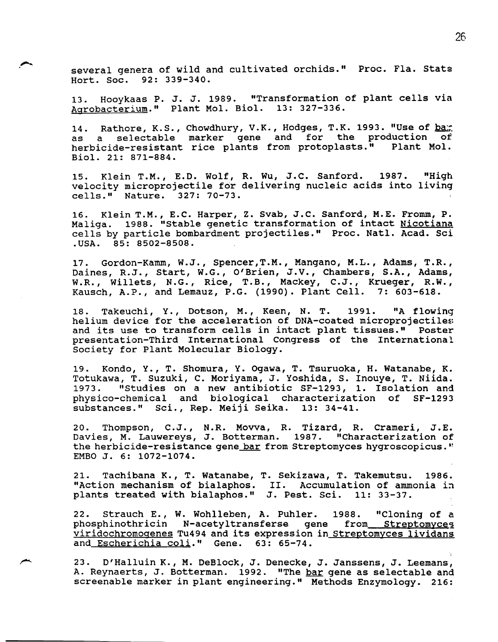several genera of wild and cultivated orchids." Proc. Fla. State Hort. Soc. 92: 339-340.

13. Hooykaas P. J. J. 1989. "Transformation of plant cells via Agrobacterium." Plant Mol. BioI. 13: 327-336.

14. Rathore, K.S., Chowdhury, V.K., Hodges, T.K. 1993. "Use of bare as a selectable marker gene and for the production herbicide-resistant rice plants from protoplasts." Plant Mol. BioI. 21: 871-884.

15. Klein T.M., E.D. Wolf, R. Wu, J.C. Sanford. 1987. "High velocity microprojectile for delivering nucleic acids into living cells." Nature. 327: 70-73.

16. Klein T.M., E.C. Harper, Z. Svab, J.C. Sanford, M.E. Fromm, P. Maliga. 1988. "Stable genetic transformation of intact Nicotiana cells by particle bombardment projectiles." Proc. Natl. Acad. Sci .USA. 85: 8502-8508.

17. Gordon-Kamm, W.J., Spencer,T.M., Mangano, M.L., Adams, T.R., Daines, R.J., Start, W.G., O'Brien, J.V., Chambers, S.A., Adams, W.R., willets, N.G., Rice, T.B., Mackey, C.J., Krueger, R.W., Kausch, A.P., and Lemauz, P.G. (1990). Plant Cell. 7: 603-618.

18. Takeuchi, Y., Dotson, M., Keen, N. T. 1991. "A flowing helium device for the acceleration of DNA-coated microprojectiles and its use to transform cells in intact plant tissues." Poster presentation-Third International Congress of the International Society for Plant Molecular Biology.

19. Kondo, Y., T. Shomura, Y. Ogawa, T. Tsuruoka, H. Watanabe, K. Totukawa, T. Suzuki, C. Moriyama, J. Yoshida, S. Inouye, T. Niida. "Studies on a new antibiotic SF-1293, 1. Isolation and physico-chemical and biological characterization of SF-1293 substances." Sci., Rep. Meiji Seika. 13: 34-41.

20. Thompson, C.J., N.R. Movva, R. Tizard, R. Crameri, J.E. Davies, M. Lauwereys, J. Botterman. 1987. "Characterization of the herbicide-resistance gene bar from Streptomyces hygroscopicus." EMBO J. 6: 1072-1074.

21. Tachibana K., T. Watanabe, T. Sekizawa, T. Takemutsu. 1986. "Action mechanism of bialaphos. II. Accumulation of ammonia in plants treated with bialaphos." J. Pest. Sci. 11: 33-37.

22. Strauch E., W. Wohlleben, A. Puhler. 1988. "Cloning of a phosphinothricin N-acetyltransferse gene from Streptomyces phosphinothricin N-acetyltransferse qene viridochromogenes Tu494 and its expression in streptomyces lividans and Escherichia coli." Gene. 63: 65-74.

23. D'Halluin K., M. DeBlock, J. Denecke, J. Janssens, J. Leemans, A. Reynaerts, J. Botterman. 1992. "The bar gene as selectable and screenable marker in plant engineering." Methods Enzymology. 216: